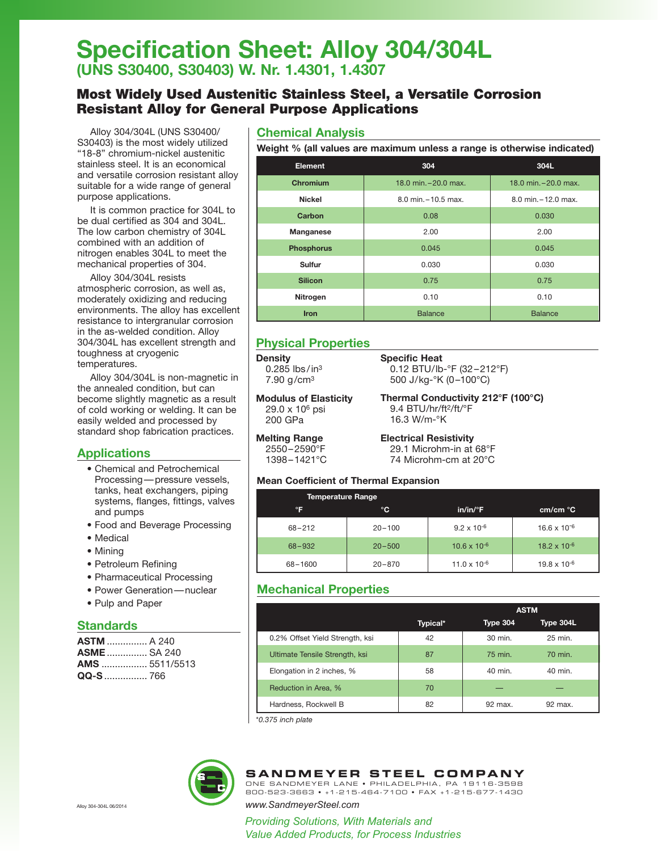# **Specification Sheet: Alloy 304/304L (UNS S30400, S30403) W. Nr. 1.4301, 1.4307**

## Most Widely Used Austenitic Stainless Steel, a Versatile Corrosion Resistant Alloy for General Purpose Applications

Alloy 304/304L (UNS S30400/ S30403) is the most widely utilized "18-8" chromium-nickel austenitic stainless steel. It is an economical and versatile corrosion resistant alloy suitable for a wide range of general purpose applications.

It is common practice for 304L to be dual certified as 304 and 304L. The low carbon chemistry of 304L combined with an addition of nitrogen enables 304L to meet the mechanical properties of 304.

Alloy 304/304L resists atmospheric corrosion, as well as, moderately oxidizing and reducing environments. The alloy has excellent resistance to intergranular corrosion in the as-welded condition. Alloy 304/304L has excellent strength and toughness at cryogenic temperatures.

Alloy 304/304L is non-magnetic in the annealed condition, but can become slightly magnetic as a result of cold working or welding. It can be easily welded and processed by standard shop fabrication practices.

### **Applications**

- Chemical and Petrochemical Processing—pressure vessels, tanks, heat exchangers, piping systems, flanges, fittings, valves and pumps
- Food and Beverage Processing
- Medical
- Mining
- Petroleum Refining
- Pharmaceutical Processing
- Power Generation—nuclear
- Pulp and Paper

### **Standards**

| <b>ASTM</b> A 240    |  |
|----------------------|--|
| <b>ASME</b> SA 240   |  |
| <b>AMS</b> 5511/5513 |  |
|                      |  |

### **Chemical Analysis**

**Weight % (all values are maximum unless a range is otherwise indicated)**

| <b>Element</b>    | 304                     | 304L                    |  |
|-------------------|-------------------------|-------------------------|--|
| Chromium          | 18.0 min. $-20.0$ max.  | 18.0 min. - 20.0 max.   |  |
| <b>Nickel</b>     | $8.0$ min. $-10.5$ max. | $8.0$ min. $-12.0$ max. |  |
| Carbon            | 0.08                    | 0.030                   |  |
| Manganese         | 2.00                    | 2.00                    |  |
| <b>Phosphorus</b> | 0.045                   | 0.045                   |  |
| Sulfur            | 0.030                   | 0.030                   |  |
| <b>Silicon</b>    | 0.75                    | 0.75                    |  |
| Nitrogen          | 0.10                    | 0.10                    |  |
| <b>Iron</b>       | <b>Balance</b>          | <b>Balance</b>          |  |

### **Physical Properties**

|--|

 $0.285$  lbs/in<sup>3</sup> 7.90 g/cm3

**Specific Heat** 0.12 BTU/lb-°F (32–212°F) 500 J/kg-°K (0–100°C)

**Modulus of Elasticity** 29.0 x 106 psi 200 GPa

**Thermal Conductivity 212°F (100°C)** 9.4 BTU/hr/ft<sup>2</sup>/ft/°F 16.3 W/m-°K

**Melting Range** 2550–2590°F 1398–1421°C **Electrical Resistivity** 29.1 Microhm-in at 68°F 74 Microhm-cm at 20°C

#### **Mean Coefficient of Thermal Expansion**

| <b>Temperature Range</b> |            |                       |                       |
|--------------------------|------------|-----------------------|-----------------------|
| °F                       | °C         | $in/in/{}^{\circ}F$   | lcm/cm °C             |
| $68 - 212$               | $20 - 100$ | $9.2 \times 10^{-6}$  | $16.6 \times 10^{-6}$ |
| $68 - 932$               | $20 - 500$ | $10.6 \times 10^{-6}$ | $18.2 \times 10^{-6}$ |
| 68-1600                  | $20 - 870$ | $11.0 \times 10^{-6}$ | $19.8 \times 10^{-6}$ |

### **Mechanical Properties**

|                                 |          | <b>ASTM</b>     |           |  |  |
|---------------------------------|----------|-----------------|-----------|--|--|
|                                 | Typical* | <b>Type 304</b> | Type 304L |  |  |
| 0.2% Offset Yield Strength, ksi | 42       | 30 min.         | 25 min.   |  |  |
| Ultimate Tensile Strength, ksi  | 87       | 75 min.         | 70 min.   |  |  |
| Elongation in 2 inches, %       | 58       | 40 min.         | 40 min.   |  |  |
| Reduction in Area, %            | 70       |                 |           |  |  |
| Hardness, Rockwell B            | 82       | 92 max.         | 92 max.   |  |  |

\**0.375 inch plate*



### **SANDMEYER STEEL COMPANY**

ONE SANDMEYER LANE • PHILADELPHIA, PA 19116-3598 800-523-3663 • +1-215-464-7100 • FAX +1-215-677-1430

#### Alloy 304-304L 06/2014 *www.SandmeyerSteel.com*

*Providing Solutions, With Materials and Value Added Products, for Process Industries*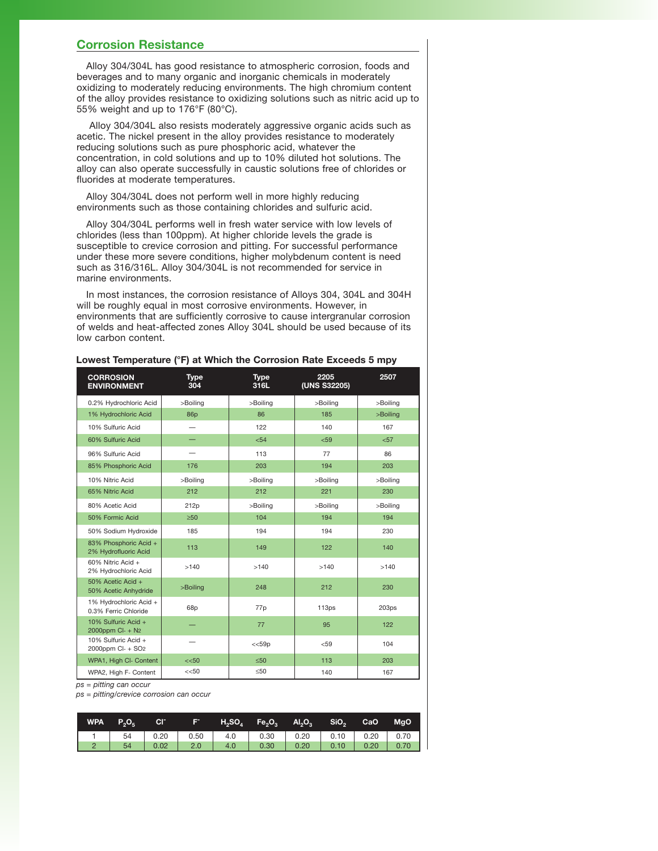#### **Corrosion Resistance**

Alloy 304/304L has good resistance to atmospheric corrosion, foods and beverages and to many organic and inorganic chemicals in moderately oxidizing to moderately reducing environments. The high chromium content of the alloy provides resistance to oxidizing solutions such as nitric acid up to 55% weight and up to 176°F (80°C).

Alloy 304/304L also resists moderately aggressive organic acids such as acetic. The nickel present in the alloy provides resistance to moderately reducing solutions such as pure phosphoric acid, whatever the concentration, in cold solutions and up to 10% diluted hot solutions. The alloy can also operate successfully in caustic solutions free of chlorides or fluorides at moderate temperatures.

Alloy 304/304L does not perform well in more highly reducing environments such as those containing chlorides and sulfuric acid.

Alloy 304/304L performs well in fresh water service with low levels of chlorides (less than 100ppm). At higher chloride levels the grade is susceptible to crevice corrosion and pitting. For successful performance under these more severe conditions, higher molybdenum content is need such as 316/316L. Alloy 304/304L is not recommended for service in marine environments.

In most instances, the corrosion resistance of Alloys 304, 304L and 304H will be roughly equal in most corrosive environments. However, in environments that are sufficiently corrosive to cause intergranular corrosion of welds and heat-affected zones Alloy 304L should be used because of its low carbon content.

**Lowest Temperature (°F) at Which the Corrosion Rate Exceeds 5 mpy**

| <b>CORROSION</b><br><b>ENVIRONMENT</b>               | <b>Type</b><br>304 | <b>Type</b><br>316L | 2205<br>(UNS S32205) | 2507              |
|------------------------------------------------------|--------------------|---------------------|----------------------|-------------------|
| 0.2% Hydrochloric Acid                               | >Boiling           | >Boiling            | >Boiling             | >Boiling          |
| 1% Hydrochloric Acid                                 | 86p                | 86                  | 185                  | >Boiling          |
| 10% Sulfuric Acid                                    |                    | 122                 | 140                  | 167               |
| 60% Sulfuric Acid                                    |                    | $54$                | < 59                 | $57$              |
| 96% Sulfuric Acid                                    |                    | 113                 | 77                   | 86                |
| 85% Phosphoric Acid                                  | 176                | 203                 | 194                  | 203               |
| 10% Nitric Acid                                      | >Boiling           | >Boiling            | >Boiling             | >Boiling          |
| 65% Nitric Acid                                      | 212                | 212                 | 221                  | 230               |
| 80% Acetic Acid                                      | 212p               | >Boiling            | >Boiling             | >Boiling          |
| 50% Formic Acid                                      | $\geq 50$          | 104                 | 194                  | 194               |
| 50% Sodium Hydroxide                                 | 185                | 194                 | 194                  | 230               |
| 83% Phosphoric Acid +<br>2% Hydrofluoric Acid        | 113                | 149                 | 122                  | 140               |
| 60% Nitric Acid +<br>2% Hydrochloric Acid            | >140               | >140                | >140                 | >140              |
| 50% Acetic Acid +<br>50% Acetic Anhydride            | >Boiling           | 248                 | 212                  | 230               |
| 1% Hydrochloric Acid +<br>0.3% Ferric Chloride       | 68p                | 77p                 | 113 <sub>ps</sub>    | 203 <sub>ps</sub> |
| 10% Sulfuric Acid +<br>2000ppm Cl- + N2              |                    | 77                  | 95                   | 122               |
| 10% Sulfuric Acid +<br>2000ppm Cl- + SO <sub>2</sub> |                    | $<<$ 59 $p$         | < 59                 | 104               |
| WPA1, High Cl- Content                               | $<<$ 50            | $\leq 50$           | 113                  | 203               |
| WPA2, High F- Content                                | $<<$ 50            | $\leq 50$           | 140                  | 167               |

*ps = pitting can occur*

*ps = pitting/crevice corrosion can occur*

| WPA $P_2O_5$ | CI <sup>-</sup> | l Fili |     | $H_2SO_4$ Fe $_2O_3$ Al $_2O_3$ SiO $_2$ |      |                      | CaO MgO     |
|--------------|-----------------|--------|-----|------------------------------------------|------|----------------------|-------------|
|              |                 |        |     |                                          |      |                      |             |
| 54           | $\vert$ 0.02    | 2.0    | 4.0 | 0.30                                     | 0.20 | $\vert$ 0.10 $\vert$ | $0.20$ 0.70 |